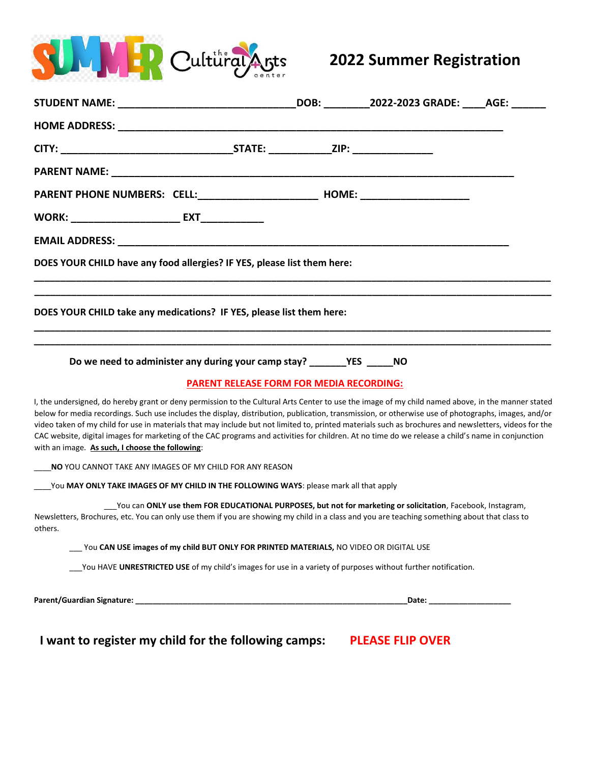

## **2022 Summer Registration**

| DOES YOUR CHILD have any food allergies? IF YES, please list them here:                                                                                                                                                                                                                                                                                                                                                                                                                                                                                                                                                                                                   |                              |  |
|---------------------------------------------------------------------------------------------------------------------------------------------------------------------------------------------------------------------------------------------------------------------------------------------------------------------------------------------------------------------------------------------------------------------------------------------------------------------------------------------------------------------------------------------------------------------------------------------------------------------------------------------------------------------------|------------------------------|--|
| DOES YOUR CHILD take any medications? IF YES, please list them here:                                                                                                                                                                                                                                                                                                                                                                                                                                                                                                                                                                                                      |                              |  |
|                                                                                                                                                                                                                                                                                                                                                                                                                                                                                                                                                                                                                                                                           |                              |  |
| <b>PARENT RELEASE FORM FOR MEDIA RECORDING:</b>                                                                                                                                                                                                                                                                                                                                                                                                                                                                                                                                                                                                                           |                              |  |
| I, the undersigned, do hereby grant or deny permission to the Cultural Arts Center to use the image of my child named above, in the manner stated<br>below for media recordings. Such use includes the display, distribution, publication, transmission, or otherwise use of photographs, images, and/or<br>video taken of my child for use in materials that may include but not limited to, printed materials such as brochures and newsletters, videos for the<br>CAC website, digital images for marketing of the CAC programs and activities for children. At no time do we release a child's name in conjunction<br>with an image. As such, I choose the following: |                              |  |
| NO YOU CANNOT TAKE ANY IMAGES OF MY CHILD FOR ANY REASON                                                                                                                                                                                                                                                                                                                                                                                                                                                                                                                                                                                                                  |                              |  |
| You MAY ONLY TAKE IMAGES OF MY CHILD IN THE FOLLOWING WAYS: please mark all that apply                                                                                                                                                                                                                                                                                                                                                                                                                                                                                                                                                                                    |                              |  |
| ___You can ONLY use them FOR EDUCATIONAL PURPOSES, but not for marketing or solicitation, Facebook, Instagram,<br>Newsletters, Brochures, etc. You can only use them if you are showing my child in a class and you are teaching something about that class to<br>others.                                                                                                                                                                                                                                                                                                                                                                                                 |                              |  |
| You CAN USE images of my child BUT ONLY FOR PRINTED MATERIALS, NO VIDEO OR DIGITAL USE                                                                                                                                                                                                                                                                                                                                                                                                                                                                                                                                                                                    |                              |  |
| You HAVE UNRESTRICTED USE of my child's images for use in a variety of purposes without further notification.                                                                                                                                                                                                                                                                                                                                                                                                                                                                                                                                                             |                              |  |
|                                                                                                                                                                                                                                                                                                                                                                                                                                                                                                                                                                                                                                                                           | _Date: _____________________ |  |

**I want to register my child for the following camps: PLEASE FLIP OVER**